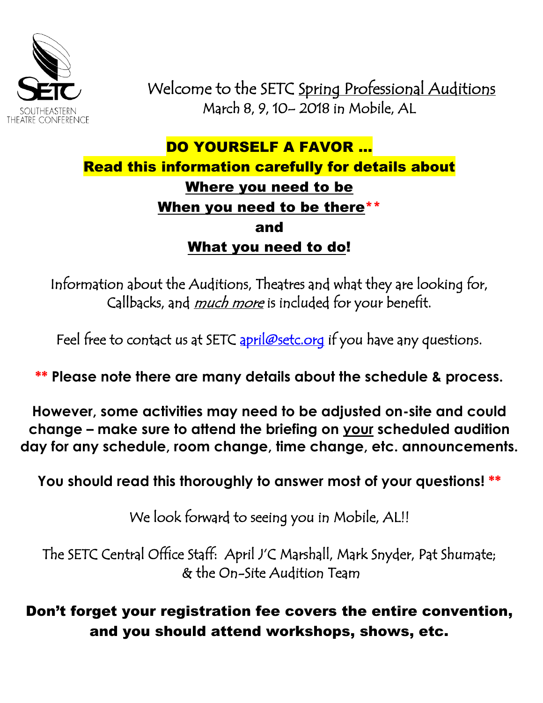

 Welcome to the SETC Spring Professional Auditions March 8, 9, 10– 2018 in Mobile, AL

# DO YOURSELF A FAVOR ... Read this information carefully for details about Where you need to be When you need to be there\*\* and What you need to do!

Information about the Auditions, Theatres and what they are looking for, Callbacks, and *much more* is included for your benefit.

Feel free to contact us at SETC [april@setc.org](mailto:april@setc.org) if you have any questions.

**\*\* Please note there are many details about the schedule & process.**

**However, some activities may need to be adjusted on-site and could change – make sure to attend the briefing on your scheduled audition day for any schedule, room change, time change, etc. announcements.**

**You should read this thoroughly to answer most of your questions! \*\***

We look forward to seeing you in Mobile, AL!!

The SETC Central Office Staff: April J'C Marshall, Mark Snyder, Pat Shumate; & the On-Site Audition Team

Don't forget your registration fee covers the entire convention, and you should attend workshops, shows, etc.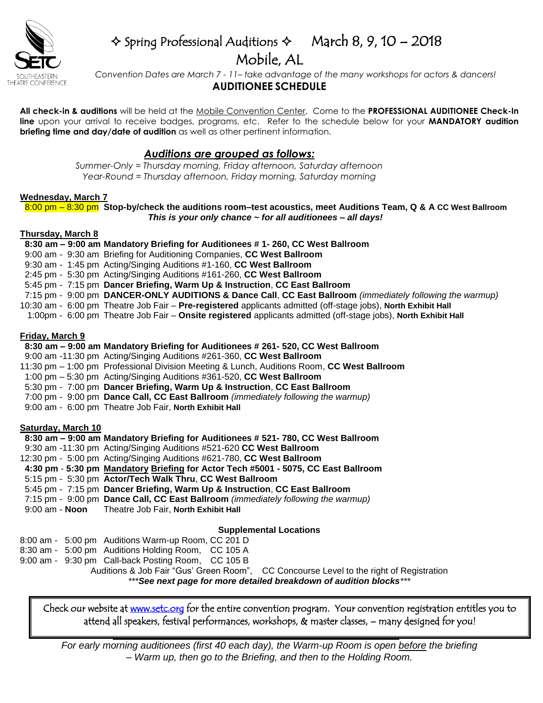

## $\triangle$  Spring Professional Auditions  $\triangle$  March 8, 9, 10 – 2018 Mobile, AL

 *Convention Dates are March 7 - 11– take advantage of the many workshops for actors & dancers!*  **AUDITIONEE SCHEDULE**

**All check-in & auditions** will be held at the Mobile Convention Center. Come to the **PROFESSIONAL AUDITIONEE Check-In line** upon your arrival to receive badges, programs, etc. Refer to the schedule below for your **MANDATORY audition briefing time and day/date of audition** as well as other pertinent information.

## *Auditions are grouped as follows:*

*Summer-Only = Thursday morning, Friday afternoon, Saturday afternoon Year-Round = Thursday afternoon, Friday morning, Saturday morning*

#### **Wednesday, March 7**

 8:00 pm – 8:30 pm **Stop-by/check the auditions room–test acoustics, meet Auditions Team, Q & A CC West Ballroom** *This is your only chance ~ for all auditionees – all days!*

### **Thursday, March 8**

#### **8:30 am – 9:00 am Mandatory Briefing for Auditionees # 1- 260, CC West Ballroom**

- 9:00 am 9:30 am Briefing for Auditioning Companies, **CC West Ballroom**
- 9:30 am 1:45 pm Acting/Singing Auditions #1-160, **CC West Ballroom**
- 2:45 pm 5:30 pm Acting/Singing Auditions #161-260, **CC West Ballroom**
- 5:45 pm 7:15 pm **Dancer Briefing, Warm Up & Instruction**, **CC East Ballroom**
- 7:15 pm 9:00 pm **DANCER-ONLY AUDITIONS & Dance Call**, **CC East Ballroom** *(immediately following the warmup)*
- 10:30 am 6:00 pm Theatre Job Fair **Pre-registered** applicants admitted (off-stage jobs), **North Exhibit Hall**
	- 1:00pm 6:00 pm Theatre Job Fair **Onsite registered** applicants admitted (off-stage jobs), **North Exhibit Hall**

#### **Friday, March 9**

#### **8:30 am – 9:00 am Mandatory Briefing for Auditionees # 261- 520, CC West Ballroom**

- 9:00 am -11:30 pm Acting/Singing Auditions #261-360, **CC West Ballroom**
- 11:30 pm 1:00 pm Professional Division Meeting & Lunch, Auditions Room, **CC West Ballroom**
- 1:00 pm 5:30 pm Acting/Singing Auditions #361-520, **CC West Ballroom**

5:30 pm - 7:00 pm **Dancer Briefing, Warm Up & Instruction**, **CC East Ballroom**

- 7:00 pm 9:00 pm **Dance Call, CC East Ballroom** *(immediately following the warmup)*
- 9:00 am 6:00 pm Theatre Job Fair, **North Exhibit Hall**

#### **Saturday, March 10**

#### **8:30 am – 9:00 am Mandatory Briefing for Auditionees # 521- 780, CC West Ballroom**

- 9:30 am -11:30 pm Acting/Singing Auditions #521-620 **CC West Ballroom**
- 12:30 pm 5:00 pm Acting/Singing Auditions #621-780, **CC West Ballroom**
- **4:30 pm 5:30 pm Mandatory Briefing for Actor Tech #5001 - 5075, CC East Ballroom**
- 5:15 pm 5:30 pm **Actor/Tech Walk Thru**, **CC West Ballroom**
- 5:45 pm 7:15 pm **Dancer Briefing, Warm Up & Instruction**, **CC East Ballroom**
- 7:15 pm 9:00 pm **Dance Call, CC East Ballroom** *(immediately following the warmup)*
- 9:00 am **Noon** Theatre Job Fair, **North Exhibit Hall**

## **Supplemental Locations**

- 8:00 am 5:00 pm Auditions Warm-up Room, CC 201 D
- 8:30 am 5:00 pm Auditions Holding Room, CC 105 A
- 9:00 am 9:30 pm Call-back Posting Room, CC 105 B

Auditions & Job Fair "Gus' Green Room", CC Concourse Level to the right of Registration

*\*\*\*See next page for more detailed breakdown of audition blocks\*\*\**

attend all speakers, festival performances, workshops, & master classes, – many designed for you!<br>——————————————————— Check our website at [www.setc.org](http://www.setc.org/) for the entire convention program. Your convention registration entitles you to

*For early morning auditionees (first 40 each day), the Warm-up Room is open before the briefing – Warm up, then go to the Briefing, and then to the Holding Room.*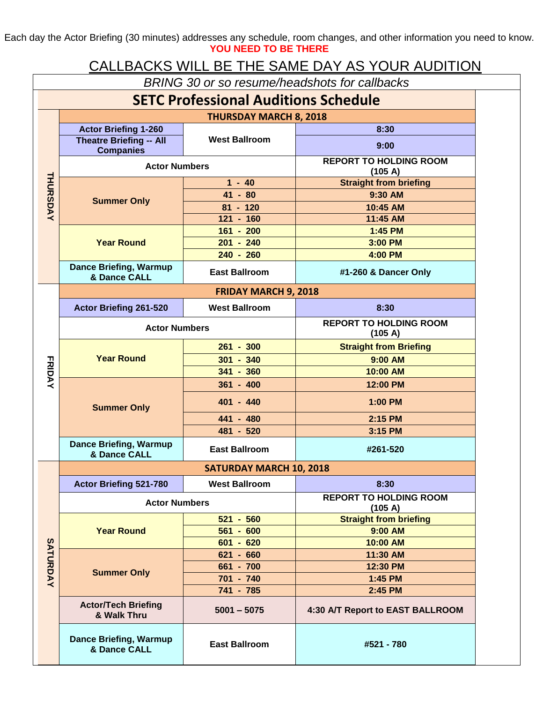Each day the Actor Briefing (30 minutes) addresses any schedule, room changes, and other information you need to know. **YOU NEED TO BE THERE**

## CALLBACKS WILL BE THE SAME DAY AS YOUR AUDITION

| <b>SETC Professional Auditions Schedule</b> |                                                    |                                |                                          |  |  |  |  |  |  |
|---------------------------------------------|----------------------------------------------------|--------------------------------|------------------------------------------|--|--|--|--|--|--|
|                                             |                                                    | <b>THURSDAY MARCH 8, 2018</b>  |                                          |  |  |  |  |  |  |
|                                             | <b>Actor Briefing 1-260</b>                        |                                | 8:30                                     |  |  |  |  |  |  |
|                                             | <b>Theatre Briefing -- All</b><br><b>Companies</b> | <b>West Ballroom</b>           | 9:00                                     |  |  |  |  |  |  |
|                                             | <b>Actor Numbers</b>                               |                                | <b>REPORT TO HOLDING ROOM</b><br>(105 A) |  |  |  |  |  |  |
|                                             | <b>Summer Only</b>                                 | $1 - 40$                       | <b>Straight from briefing</b>            |  |  |  |  |  |  |
| <b>THURSDAY</b>                             |                                                    | $41 - 80$                      | 9:30 AM                                  |  |  |  |  |  |  |
|                                             |                                                    | $81 - 120$                     | 10:45 AM                                 |  |  |  |  |  |  |
|                                             |                                                    | $121 - 160$                    | 11:45 AM                                 |  |  |  |  |  |  |
|                                             | <b>Year Round</b>                                  | $161 - 200$                    | 1:45 PM                                  |  |  |  |  |  |  |
|                                             |                                                    | $201 - 240$<br>3:00 PM         |                                          |  |  |  |  |  |  |
|                                             |                                                    | $240 - 260$                    | 4:00 PM                                  |  |  |  |  |  |  |
|                                             | <b>Dance Briefing, Warmup</b><br>& Dance CALL      | <b>East Ballroom</b>           | #1-260 & Dancer Only                     |  |  |  |  |  |  |
|                                             | <b>FRIDAY MARCH 9, 2018</b>                        |                                |                                          |  |  |  |  |  |  |
|                                             | Actor Briefing 261-520                             | <b>West Ballroom</b>           | 8:30                                     |  |  |  |  |  |  |
|                                             | <b>Actor Numbers</b>                               |                                | <b>REPORT TO HOLDING ROOM</b><br>(105 A) |  |  |  |  |  |  |
|                                             |                                                    | $261 - 300$                    | <b>Straight from Briefing</b>            |  |  |  |  |  |  |
|                                             | <b>Year Round</b>                                  | $301 - 340$                    | 9:00 AM                                  |  |  |  |  |  |  |
|                                             |                                                    | $341 - 360$                    | 10:00 AM                                 |  |  |  |  |  |  |
| <b>FRIDAY</b>                               | <b>Summer Only</b>                                 | $361 - 400$                    | 12:00 PM                                 |  |  |  |  |  |  |
|                                             |                                                    | 401 - 440<br>1:00 PM           |                                          |  |  |  |  |  |  |
|                                             |                                                    | 441 - 480                      | 2:15 PM                                  |  |  |  |  |  |  |
|                                             |                                                    | 481 - 520                      | 3:15 PM                                  |  |  |  |  |  |  |
|                                             | <b>Dance Briefing, Warmup</b><br>& Dance CALL      | <b>East Ballroom</b>           | #261-520                                 |  |  |  |  |  |  |
|                                             |                                                    | <b>SATURDAY MARCH 10, 2018</b> |                                          |  |  |  |  |  |  |
|                                             | Actor Briefing 521-780                             | <b>West Ballroom</b>           | 8:30                                     |  |  |  |  |  |  |
|                                             | <b>Actor Numbers</b>                               |                                | <b>REPORT TO HOLDING ROOM</b><br>(105 A) |  |  |  |  |  |  |
|                                             | <b>Year Round</b>                                  | $521 - 560$                    | <b>Straight from briefing</b>            |  |  |  |  |  |  |
|                                             |                                                    | $561 - 600$                    | 9:00 AM                                  |  |  |  |  |  |  |
|                                             |                                                    | $601 - 620$                    | 10:00 AM                                 |  |  |  |  |  |  |
|                                             | <b>Summer Only</b>                                 | $621 - 660$                    | 11:30 AM                                 |  |  |  |  |  |  |
|                                             |                                                    | 661 - 700                      | 12:30 PM                                 |  |  |  |  |  |  |
| SATURDAY                                    |                                                    | 701 - 740                      | 1:45 PM                                  |  |  |  |  |  |  |
|                                             |                                                    | 741 - 785                      | 2:45 PM                                  |  |  |  |  |  |  |
|                                             | <b>Actor/Tech Briefing</b><br>& Walk Thru          | $5001 - 5075$                  | 4:30 A/T Report to EAST BALLROOM         |  |  |  |  |  |  |
|                                             | <b>Dance Briefing, Warmup</b><br>& Dance CALL      | <b>East Ballroom</b>           | #521 - 780                               |  |  |  |  |  |  |